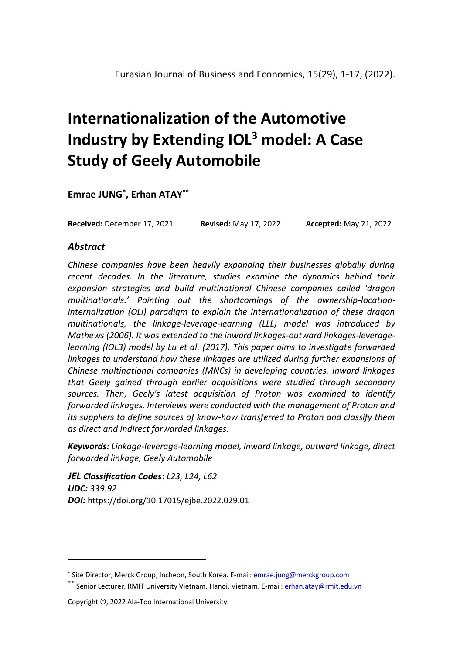# **Internationalization of the Automotive Industry by Extending IOL<sup>3</sup> model: A Case Study of Geely Automobile**

**Emrae JUNG\* , Erhan ATAY\*\***

**Received:** December 17, 2021 **Revised:** May 17, 2022 **Accepted:** May 21, 2022

## *Abstract*

*Chinese companies have been heavily expanding their businesses globally during recent decades. In the literature, studies examine the dynamics behind their expansion strategies and build multinational Chinese companies called 'dragon multinationals.' Pointing out the shortcomings of the ownership-locationinternalization (OLI) paradigm to explain the internationalization of these dragon multinationals, the linkage-leverage-learning (LLL) model was introduced by Mathews (2006). It was extended to the inward linkages-outward linkages-leveragelearning (IOL3) model by Lu et al. (2017). This paper aims to investigate forwarded linkages to understand how these linkages are utilized during further expansions of Chinese multinational companies (MNCs) in developing countries. Inward linkages that Geely gained through earlier acquisitions were studied through secondary sources. Then, Geely's latest acquisition of Proton was examined to identify forwarded linkages. Interviews were conducted with the management of Proton and its suppliers to define sources of know-how transferred to Proton and classify them as direct and indirect forwarded linkages.* 

*Keywords: Linkage-leverage-learning model, inward linkage, outward linkage, direct forwarded linkage, Geely Automobile*

*JEL Classification Codes*: *L23, L24, L62 UDC: 339.92 DOI:* <https://doi.org/10.17015/ejbe.2022.029.01>

<sup>\*</sup> Site Director, Merck Group, Incheon, South Korea. E-mail: emrae.jung@merckgroup.com

<sup>\*\*</sup> Senior Lecturer, RMIT University Vietnam, Hanoi, Vietnam. E-mail: <u>erhan.atay@rmit.edu.vn</u>

Copyright ©, 2022 Ala-Too International University.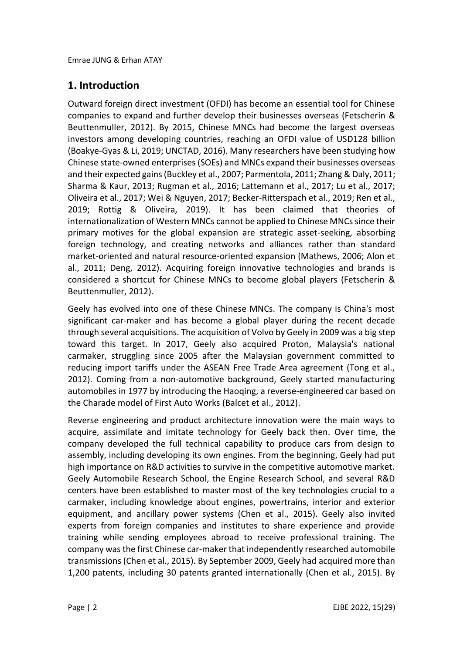## **1. Introduction**

Outward foreign direct investment (OFDI) has become an essential tool for Chinese companies to expand and further develop their businesses overseas (Fetscherin & Beuttenmuller, 2012). By 2015, Chinese MNCs had become the largest overseas investors among developing countries, reaching an OFDI value of USD128 billion (Boakye-Gyas & Li, 2019; UNCTAD, 2016). Many researchers have been studying how Chinese state-owned enterprises (SOEs) and MNCs expand their businesses overseas and their expected gains (Buckley et al., 2007; Parmentola, 2011; Zhang & Daly, 2011; Sharma & Kaur, 2013; Rugman et al., 2016; Lattemann et al., 2017; Lu et al., 2017; Oliveira et al., 2017; Wei & Nguyen, 2017; Becker-Ritterspach et al., 2019; Ren et al., 2019; Rottig & Oliveira, 2019). It has been claimed that theories of internationalization of Western MNCs cannot be applied to Chinese MNCs since their primary motives for the global expansion are strategic asset-seeking, absorbing foreign technology, and creating networks and alliances rather than standard market-oriented and natural resource-oriented expansion (Mathews, 2006; Alon et al., 2011; Deng, 2012). Acquiring foreign innovative technologies and brands is considered a shortcut for Chinese MNCs to become global players (Fetscherin & Beuttenmuller, 2012).

Geely has evolved into one of these Chinese MNCs. The company is China's most significant car-maker and has become a global player during the recent decade through several acquisitions. The acquisition of Volvo by Geely in 2009 was a big step toward this target. In 2017, Geely also acquired Proton, Malaysia's national carmaker, struggling since 2005 after the Malaysian government committed to reducing import tariffs under the ASEAN Free Trade Area agreement (Tong et al., 2012). Coming from a non-automotive background, Geely started manufacturing automobiles in 1977 by introducing the Haoqing, a reverse-engineered car based on the Charade model of First Auto Works (Balcet et al., 2012).

Reverse engineering and product architecture innovation were the main ways to acquire, assimilate and imitate technology for Geely back then. Over time, the company developed the full technical capability to produce cars from design to assembly, including developing its own engines. From the beginning, Geely had put high importance on R&D activities to survive in the competitive automotive market. Geely Automobile Research School, the Engine Research School, and several R&D centers have been established to master most of the key technologies crucial to a carmaker, including knowledge about engines, powertrains, interior and exterior equipment, and ancillary power systems (Chen et al., 2015). Geely also invited experts from foreign companies and institutes to share experience and provide training while sending employees abroad to receive professional training. The company was the first Chinese car-maker that independently researched automobile transmissions (Chen et al., 2015). By September 2009, Geely had acquired more than 1,200 patents, including 30 patents granted internationally (Chen et al., 2015). By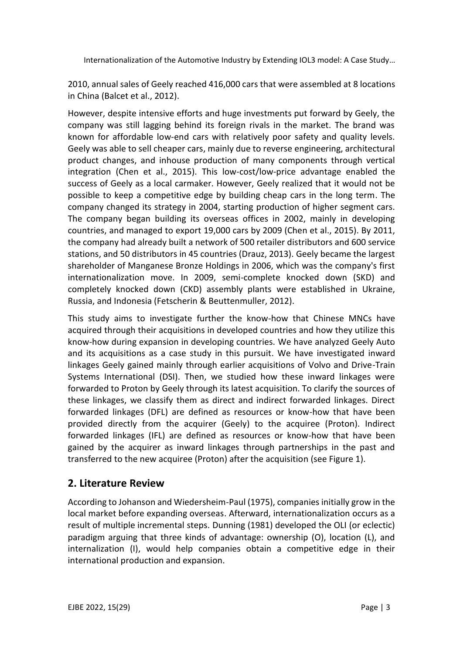2010, annual sales of Geely reached 416,000 cars that were assembled at 8 locations in China (Balcet et al., 2012).

However, despite intensive efforts and huge investments put forward by Geely, the company was still lagging behind its foreign rivals in the market. The brand was known for affordable low-end cars with relatively poor safety and quality levels. Geely was able to sell cheaper cars, mainly due to reverse engineering, architectural product changes, and inhouse production of many components through vertical integration (Chen et al., 2015). This low-cost/low-price advantage enabled the success of Geely as a local carmaker. However, Geely realized that it would not be possible to keep a competitive edge by building cheap cars in the long term. The company changed its strategy in 2004, starting production of higher segment cars. The company began building its overseas offices in 2002, mainly in developing countries, and managed to export 19,000 cars by 2009 (Chen et al., 2015). By 2011, the company had already built a network of 500 retailer distributors and 600 service stations, and 50 distributors in 45 countries (Drauz, 2013). Geely became the largest shareholder of Manganese Bronze Holdings in 2006, which was the company's first internationalization move. In 2009, semi-complete knocked down (SKD) and completely knocked down (CKD) assembly plants were established in Ukraine, Russia, and Indonesia (Fetscherin & Beuttenmuller, 2012).

This study aims to investigate further the know-how that Chinese MNCs have acquired through their acquisitions in developed countries and how they utilize this know-how during expansion in developing countries. We have analyzed Geely Auto and its acquisitions as a case study in this pursuit. We have investigated inward linkages Geely gained mainly through earlier acquisitions of Volvo and Drive-Train Systems International (DSI). Then, we studied how these inward linkages were forwarded to Proton by Geely through its latest acquisition. To clarify the sources of these linkages, we classify them as direct and indirect forwarded linkages. Direct forwarded linkages (DFL) are defined as resources or know-how that have been provided directly from the acquirer (Geely) to the acquiree (Proton). Indirect forwarded linkages (IFL) are defined as resources or know-how that have been gained by the acquirer as inward linkages through partnerships in the past and transferred to the new acquiree (Proton) after the acquisition (see Figure 1).

## **2. Literature Review**

According to Johanson and Wiedersheim-Paul (1975), companies initially grow in the local market before expanding overseas. Afterward, internationalization occurs as a result of multiple incremental steps. Dunning (1981) developed the OLI (or eclectic) paradigm arguing that three kinds of advantage: ownership (O), location (L), and internalization (I), would help companies obtain a competitive edge in their international production and expansion.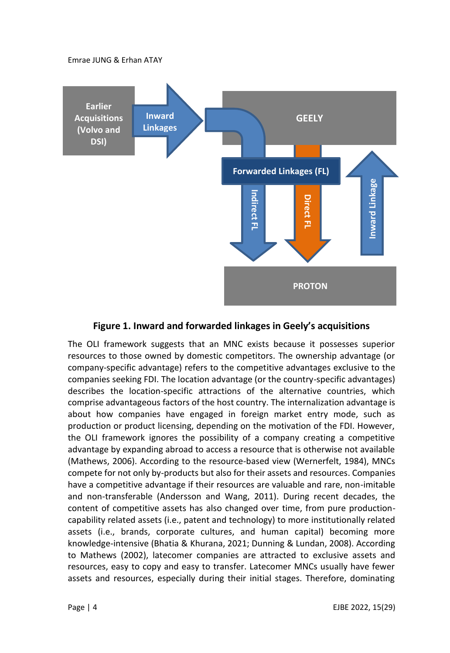

#### **Figure 1. Inward and forwarded linkages in Geely's acquisitions**

The OLI framework suggests that an MNC exists because it possesses superior resources to those owned by domestic competitors. The ownership advantage (or company-specific advantage) refers to the competitive advantages exclusive to the companies seeking FDI. The location advantage (or the country-specific advantages) describes the location-specific attractions of the alternative countries, which comprise advantageous factors of the host country. The internalization advantage is about how companies have engaged in foreign market entry mode, such as production or product licensing, depending on the motivation of the FDI. However, the OLI framework ignores the possibility of a company creating a competitive advantage by expanding abroad to access a resource that is otherwise not available (Mathews, 2006). According to the resource-based view (Wernerfelt, 1984), MNCs compete for not only by-products but also for their assets and resources. Companies have a competitive advantage if their resources are valuable and rare, non-imitable and non-transferable (Andersson and Wang, 2011). During recent decades, the content of competitive assets has also changed over time, from pure productioncapability related assets (i.e., patent and technology) to more institutionally related assets (i.e., brands, corporate cultures, and human capital) becoming more knowledge-intensive (Bhatia & Khurana, 2021; Dunning & Lundan, 2008). According to Mathews (2002), latecomer companies are attracted to exclusive assets and resources, easy to copy and easy to transfer. Latecomer MNCs usually have fewer **Example 1. Inward and forwarded linkages in Geely's acquisitions**<br>The OLI framework suggests that an MNC exists because it possesses superior<br>resources to those owned by domistic competitive advantages (or the companies s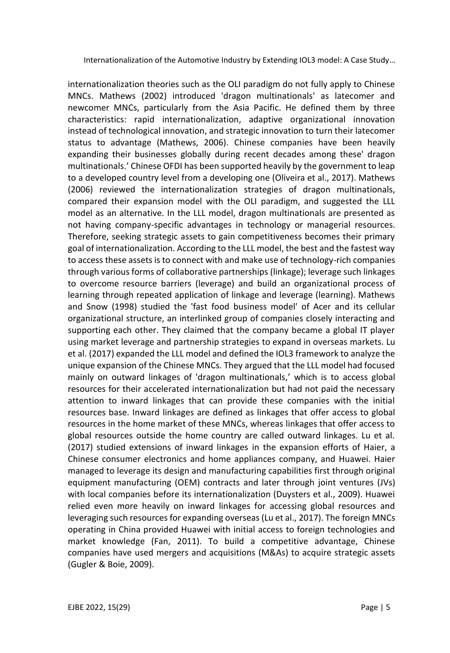internationalization theories such as the OLI paradigm do not fully apply to Chinese MNCs. Mathews (2002) introduced 'dragon multinationals' as latecomer and newcomer MNCs, particularly from the Asia Pacific. He defined them by three characteristics: rapid internationalization, adaptive organizational innovation instead of technological innovation, and strategic innovation to turn their latecomer status to advantage (Mathews, 2006). Chinese companies have been heavily expanding their businesses globally during recent decades among these' dragon multinationals.' Chinese OFDI has been supported heavily by the government to leap to a developed country level from a developing one (Oliveira et al., 2017). Mathews (2006) reviewed the internationalization strategies of dragon multinationals, compared their expansion model with the OLI paradigm, and suggested the LLL model as an alternative. In the LLL model, dragon multinationals are presented as not having company-specific advantages in technology or managerial resources. Therefore, seeking strategic assets to gain competitiveness becomes their primary goal of internationalization. According to the LLL model, the best and the fastest way to access these assets is to connect with and make use of technology-rich companies through various forms of collaborative partnerships (linkage); leverage such linkages to overcome resource barriers (leverage) and build an organizational process of learning through repeated application of linkage and leverage (learning). Mathews and Snow (1998) studied the 'fast food business model' of Acer and its cellular organizational structure, an interlinked group of companies closely interacting and supporting each other. They claimed that the company became a global IT player using market leverage and partnership strategies to expand in overseas markets. Lu et al. (2017) expanded the LLL model and defined the IOL3 framework to analyze the unique expansion of the Chinese MNCs. They argued that the LLL model had focused mainly on outward linkages of 'dragon multinationals,' which is to access global resources for their accelerated internationalization but had not paid the necessary attention to inward linkages that can provide these companies with the initial resources base. Inward linkages are defined as linkages that offer access to global resources in the home market of these MNCs, whereas linkages that offer access to global resources outside the home country are called outward linkages. Lu et al. (2017) studied extensions of inward linkages in the expansion efforts of Haier, a Chinese consumer electronics and home appliances company, and Huawei. Haier managed to leverage its design and manufacturing capabilities first through original equipment manufacturing (OEM) contracts and later through joint ventures (JVs) with local companies before its internationalization (Duysters et al., 2009). Huawei relied even more heavily on inward linkages for accessing global resources and leveraging such resources for expanding overseas (Lu et al., 2017). The foreign MNCs operating in China provided Huawei with initial access to foreign technologies and market knowledge (Fan, 2011). To build a competitive advantage, Chinese companies have used mergers and acquisitions (M&As) to acquire strategic assets (Gugler & Boie, 2009).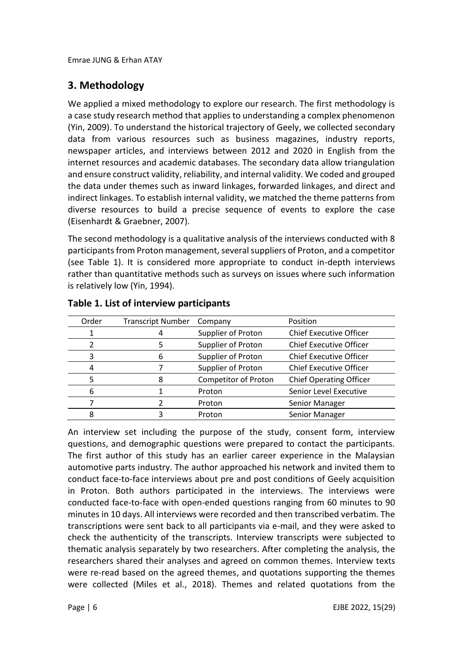# **3. Methodology**

We applied a mixed methodology to explore our research. The first methodology is a case study research method that applies to understanding a complex phenomenon (Yin, 2009). To understand the historical trajectory of Geely, we collected secondary data from various resources such as business magazines, industry reports, newspaper articles, and interviews between 2012 and 2020 in English from the internet resources and academic databases. The secondary data allow triangulation and ensure construct validity, reliability, and internal validity. We coded and grouped the data under themes such as inward linkages, forwarded linkages, and direct and indirect linkages. To establish internal validity, we matched the theme patterns from diverse resources to build a precise sequence of events to explore the case (Eisenhardt & Graebner, 2007).

The second methodology is a qualitative analysis of the interviews conducted with 8 participants from Proton management, several suppliers of Proton, and a competitor (see Table 1). It is considered more appropriate to conduct in-depth interviews rather than quantitative methods such as surveys on issues where such information is relatively low (Yin, 1994).

| Order | <b>Transcript Number</b> | Company                     | Position                       |
|-------|--------------------------|-----------------------------|--------------------------------|
|       |                          | Supplier of Proton          | <b>Chief Executive Officer</b> |
|       |                          | Supplier of Proton          | <b>Chief Executive Officer</b> |
|       |                          | Supplier of Proton          | <b>Chief Executive Officer</b> |
|       |                          | Supplier of Proton          | <b>Chief Executive Officer</b> |
|       |                          | <b>Competitor of Proton</b> | <b>Chief Operating Officer</b> |
| 6     |                          | Proton                      | Senior Level Executive         |
|       |                          | Proton                      | Senior Manager                 |
|       |                          | Proton                      | Senior Manager                 |

#### **Table 1. List of interview participants**

An interview set including the purpose of the study, consent form, interview questions, and demographic questions were prepared to contact the participants. The first author of this study has an earlier career experience in the Malaysian automotive parts industry. The author approached his network and invited them to conduct face-to-face interviews about pre and post conditions of Geely acquisition in Proton. Both authors participated in the interviews. The interviews were conducted face-to-face with open-ended questions ranging from 60 minutes to 90 minutes in 10 days. All interviews were recorded and then transcribed verbatim. The transcriptions were sent back to all participants via e-mail, and they were asked to check the authenticity of the transcripts. Interview transcripts were subjected to thematic analysis separately by two researchers. After completing the analysis, the researchers shared their analyses and agreed on common themes. Interview texts were re-read based on the agreed themes, and quotations supporting the themes were collected (Miles et al., 2018). Themes and related quotations from the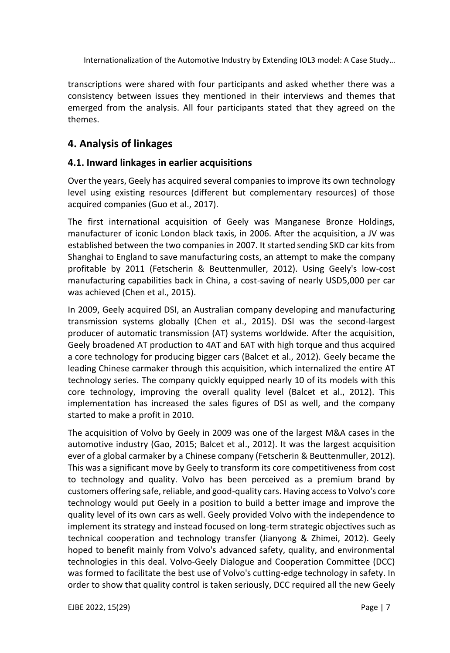transcriptions were shared with four participants and asked whether there was a consistency between issues they mentioned in their interviews and themes that emerged from the analysis. All four participants stated that they agreed on the themes.

## **4. Analysis of linkages**

#### **4.1. Inward linkages in earlier acquisitions**

Over the years, Geely has acquired several companies to improve its own technology level using existing resources (different but complementary resources) of those acquired companies (Guo et al., 2017).

The first international acquisition of Geely was Manganese Bronze Holdings, manufacturer of iconic London black taxis, in 2006. After the acquisition, a JV was established between the two companies in 2007. It started sending SKD car kits from Shanghai to England to save manufacturing costs, an attempt to make the company profitable by 2011 (Fetscherin & Beuttenmuller, 2012). Using Geely's low-cost manufacturing capabilities back in China, a cost-saving of nearly USD5,000 per car was achieved (Chen et al., 2015).

In 2009, Geely acquired DSI, an Australian company developing and manufacturing transmission systems globally (Chen et al., 2015). DSI was the second-largest producer of automatic transmission (AT) systems worldwide. After the acquisition, Geely broadened AT production to 4AT and 6AT with high torque and thus acquired a core technology for producing bigger cars (Balcet et al., 2012). Geely became the leading Chinese carmaker through this acquisition, which internalized the entire AT technology series. The company quickly equipped nearly 10 of its models with this core technology, improving the overall quality level (Balcet et al., 2012). This implementation has increased the sales figures of DSI as well, and the company started to make a profit in 2010.

The acquisition of Volvo by Geely in 2009 was one of the largest M&A cases in the automotive industry (Gao, 2015; Balcet et al., 2012). It was the largest acquisition ever of a global carmaker by a Chinese company (Fetscherin & Beuttenmuller, 2012). This was a significant move by Geely to transform its core competitiveness from cost to technology and quality. Volvo has been perceived as a premium brand by customers offering safe, reliable, and good-quality cars. Having access to Volvo's core technology would put Geely in a position to build a better image and improve the quality level of its own cars as well. Geely provided Volvo with the independence to implement its strategy and instead focused on long-term strategic objectives such as technical cooperation and technology transfer (Jianyong & Zhimei, 2012). Geely hoped to benefit mainly from Volvo's advanced safety, quality, and environmental technologies in this deal. Volvo-Geely Dialogue and Cooperation Committee (DCC) was formed to facilitate the best use of Volvo's cutting-edge technology in safety. In order to show that quality control is taken seriously, DCC required all the new Geely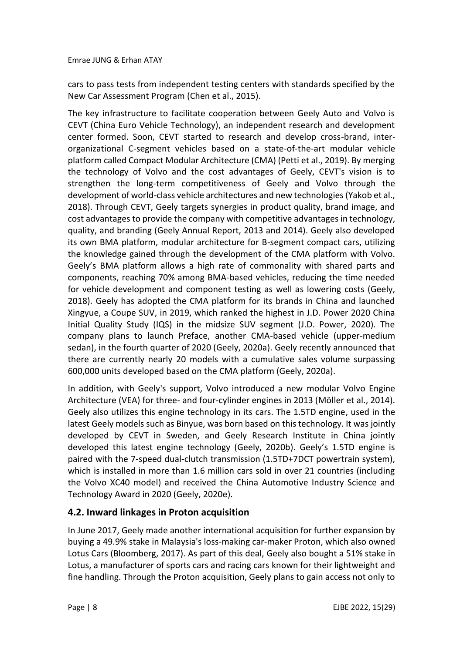cars to pass tests from independent testing centers with standards specified by the New Car Assessment Program (Chen et al., 2015).

The key infrastructure to facilitate cooperation between Geely Auto and Volvo is CEVT (China Euro Vehicle Technology), an independent research and development center formed. Soon, CEVT started to research and develop cross-brand, interorganizational C-segment vehicles based on a state-of-the-art modular vehicle platform called Compact Modular Architecture (CMA) (Petti et al., 2019). By merging the technology of Volvo and the cost advantages of Geely, CEVT's vision is to strengthen the long-term competitiveness of Geely and Volvo through the development of world-class vehicle architectures and new technologies (Yakob et al., 2018). Through CEVT, Geely targets synergies in product quality, brand image, and cost advantages to provide the company with competitive advantages in technology, quality, and branding (Geely Annual Report, 2013 and 2014). Geely also developed its own BMA platform, modular architecture for B-segment compact cars, utilizing the knowledge gained through the development of the CMA platform with Volvo. Geely's BMA platform allows a high rate of commonality with shared parts and components, reaching 70% among BMA-based vehicles, reducing the time needed for vehicle development and component testing as well as lowering costs (Geely, 2018). Geely has adopted the CMA platform for its brands in China and launched Xingyue, a Coupe SUV, in 2019, which ranked the highest in J.D. Power 2020 China Initial Quality Study (IQS) in the midsize SUV segment (J.D. Power, 2020). The company plans to launch Preface, another CMA-based vehicle (upper-medium sedan), in the fourth quarter of 2020 (Geely, 2020a). Geely recently announced that there are currently nearly 20 models with a cumulative sales volume surpassing 600,000 units developed based on the CMA platform (Geely, 2020a).

In addition, with Geely's support, Volvo introduced a new modular Volvo Engine Architecture (VEA) for three- and four-cylinder engines in 2013 (Möller et al., 2014). Geely also utilizes this engine technology in its cars. The 1.5TD engine, used in the latest Geely models such as Binyue, was born based on this technology. It was jointly developed by CEVT in Sweden, and Geely Research Institute in China jointly developed this latest engine technology (Geely, 2020b). Geely's 1.5TD engine is paired with the 7-speed dual-clutch transmission (1.5TD+7DCT powertrain system), which is installed in more than 1.6 million cars sold in over 21 countries (including the Volvo XC40 model) and received the China Automotive Industry Science and Technology Award in 2020 (Geely, 2020e).

## **4.2. Inward linkages in Proton acquisition**

In June 2017, Geely made another international acquisition for further expansion by buying a 49.9% stake in Malaysia's loss-making car-maker Proton, which also owned Lotus Cars (Bloomberg, 2017). As part of this deal, Geely also bought a 51% stake in Lotus, a manufacturer of sports cars and racing cars known for their lightweight and fine handling. Through the Proton acquisition, Geely plans to gain access not only to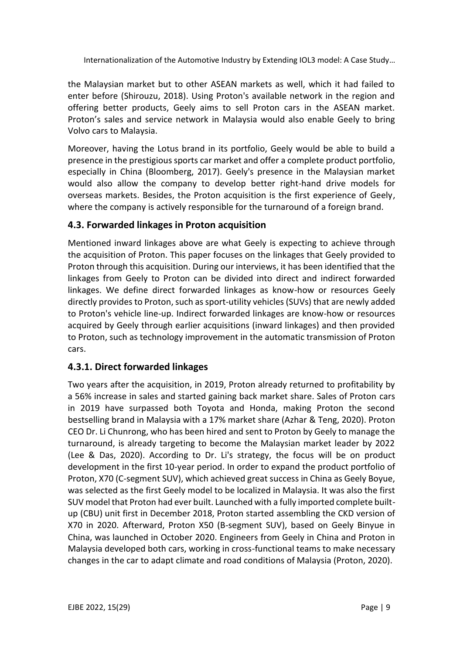the Malaysian market but to other ASEAN markets as well, which it had failed to enter before (Shirouzu, 2018). Using Proton's available network in the region and offering better products, Geely aims to sell Proton cars in the ASEAN market. Proton's sales and service network in Malaysia would also enable Geely to bring Volvo cars to Malaysia.

Moreover, having the Lotus brand in its portfolio, Geely would be able to build a presence in the prestigious sports car market and offer a complete product portfolio, especially in China (Bloomberg, 2017). Geely's presence in the Malaysian market would also allow the company to develop better right-hand drive models for overseas markets. Besides, the Proton acquisition is the first experience of Geely, where the company is actively responsible for the turnaround of a foreign brand.

## **4.3. Forwarded linkages in Proton acquisition**

Mentioned inward linkages above are what Geely is expecting to achieve through the acquisition of Proton. This paper focuses on the linkages that Geely provided to Proton through this acquisition. During our interviews, it has been identified that the linkages from Geely to Proton can be divided into direct and indirect forwarded linkages. We define direct forwarded linkages as know-how or resources Geely directly provides to Proton, such as sport-utility vehicles (SUVs) that are newly added to Proton's vehicle line-up. Indirect forwarded linkages are know-how or resources acquired by Geely through earlier acquisitions (inward linkages) and then provided to Proton, such as technology improvement in the automatic transmission of Proton cars.

## **4.3.1. Direct forwarded linkages**

Two years after the acquisition, in 2019, Proton already returned to profitability by a 56% increase in sales and started gaining back market share. Sales of Proton cars in 2019 have surpassed both Toyota and Honda, making Proton the second bestselling brand in Malaysia with a 17% market share (Azhar & Teng, 2020). Proton CEO Dr. Li Chunrong, who has been hired and sent to Proton by Geely to manage the turnaround, is already targeting to become the Malaysian market leader by 2022 (Lee & Das, 2020). According to Dr. Li's strategy, the focus will be on product development in the first 10-year period. In order to expand the product portfolio of Proton, X70 (C-segment SUV), which achieved great success in China as Geely Boyue, was selected as the first Geely model to be localized in Malaysia. It was also the first SUV model that Proton had ever built. Launched with a fully imported complete builtup (CBU) unit first in December 2018, Proton started assembling the CKD version of X70 in 2020. Afterward, Proton X50 (B-segment SUV), based on Geely Binyue in China, was launched in October 2020. Engineers from Geely in China and Proton in Malaysia developed both cars, working in cross-functional teams to make necessary changes in the car to adapt climate and road conditions of Malaysia (Proton, 2020).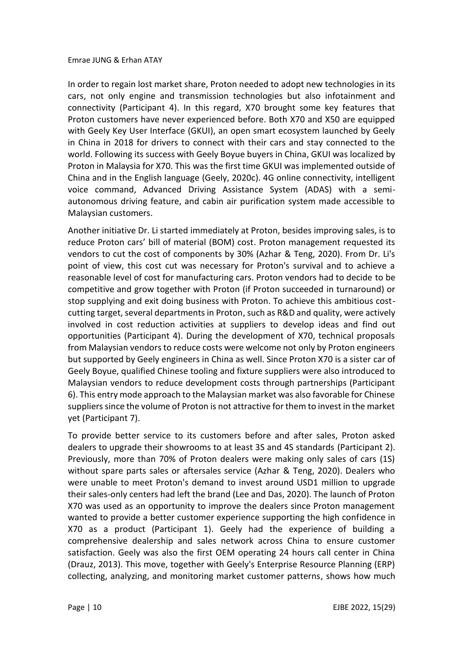In order to regain lost market share, Proton needed to adopt new technologies in its cars, not only engine and transmission technologies but also infotainment and connectivity (Participant 4). In this regard, X70 brought some key features that Proton customers have never experienced before. Both X70 and X50 are equipped with Geely Key User Interface (GKUI), an open smart ecosystem launched by Geely in China in 2018 for drivers to connect with their cars and stay connected to the world. Following its success with Geely Boyue buyers in China, GKUI was localized by Proton in Malaysia for X70. This was the first time GKUI was implemented outside of China and in the English language (Geely, 2020c). 4G online connectivity, intelligent voice command, Advanced Driving Assistance System (ADAS) with a semiautonomous driving feature, and cabin air purification system made accessible to Malaysian customers.

Another initiative Dr. Li started immediately at Proton, besides improving sales, is to reduce Proton cars' bill of material (BOM) cost. Proton management requested its vendors to cut the cost of components by 30% (Azhar & Teng, 2020). From Dr. Li's point of view, this cost cut was necessary for Proton's survival and to achieve a reasonable level of cost for manufacturing cars. Proton vendors had to decide to be competitive and grow together with Proton (if Proton succeeded in turnaround) or stop supplying and exit doing business with Proton. To achieve this ambitious costcutting target, several departments in Proton, such as R&D and quality, were actively involved in cost reduction activities at suppliers to develop ideas and find out opportunities (Participant 4). During the development of X70, technical proposals from Malaysian vendors to reduce costs were welcome not only by Proton engineers but supported by Geely engineers in China as well. Since Proton X70 is a sister car of Geely Boyue, qualified Chinese tooling and fixture suppliers were also introduced to Malaysian vendors to reduce development costs through partnerships (Participant 6). This entry mode approach to the Malaysian market was also favorable for Chinese suppliers since the volume of Proton is not attractive for them to invest in the market yet (Participant 7).

To provide better service to its customers before and after sales, Proton asked dealers to upgrade their showrooms to at least 3S and 4S standards (Participant 2). Previously, more than 70% of Proton dealers were making only sales of cars (1S) without spare parts sales or aftersales service (Azhar & Teng, 2020). Dealers who were unable to meet Proton's demand to invest around USD1 million to upgrade their sales-only centers had left the brand (Lee and Das, 2020). The launch of Proton X70 was used as an opportunity to improve the dealers since Proton management wanted to provide a better customer experience supporting the high confidence in X70 as a product (Participant 1). Geely had the experience of building a comprehensive dealership and sales network across China to ensure customer satisfaction. Geely was also the first OEM operating 24 hours call center in China (Drauz, 2013). This move, together with Geely's Enterprise Resource Planning (ERP) collecting, analyzing, and monitoring market customer patterns, shows how much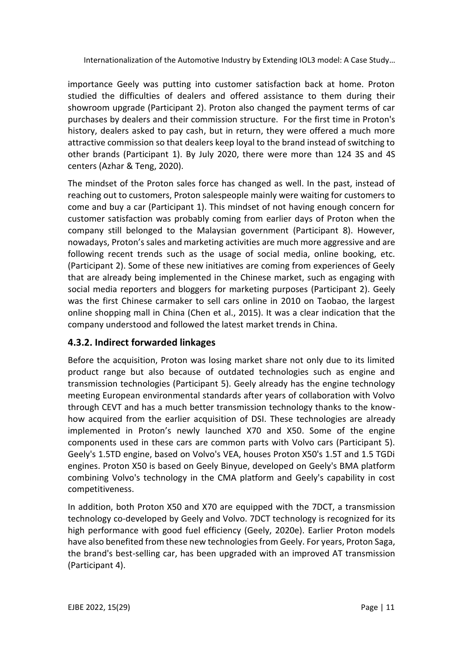importance Geely was putting into customer satisfaction back at home. Proton studied the difficulties of dealers and offered assistance to them during their showroom upgrade (Participant 2). Proton also changed the payment terms of car purchases by dealers and their commission structure. For the first time in Proton's history, dealers asked to pay cash, but in return, they were offered a much more attractive commission so that dealers keep loyal to the brand instead of switching to other brands (Participant 1). By July 2020, there were more than 124 3S and 4S centers (Azhar & Teng, 2020).

The mindset of the Proton sales force has changed as well. In the past, instead of reaching out to customers, Proton salespeople mainly were waiting for customers to come and buy a car (Participant 1). This mindset of not having enough concern for customer satisfaction was probably coming from earlier days of Proton when the company still belonged to the Malaysian government (Participant 8). However, nowadays, Proton's sales and marketing activities are much more aggressive and are following recent trends such as the usage of social media, online booking, etc. (Participant 2). Some of these new initiatives are coming from experiences of Geely that are already being implemented in the Chinese market, such as engaging with social media reporters and bloggers for marketing purposes (Participant 2). Geely was the first Chinese carmaker to sell cars online in 2010 on Taobao, the largest online shopping mall in China (Chen et al., 2015). It was a clear indication that the company understood and followed the latest market trends in China.

## **4.3.2. Indirect forwarded linkages**

Before the acquisition, Proton was losing market share not only due to its limited product range but also because of outdated technologies such as engine and transmission technologies (Participant 5). Geely already has the engine technology meeting European environmental standards after years of collaboration with Volvo through CEVT and has a much better transmission technology thanks to the knowhow acquired from the earlier acquisition of DSI. These technologies are already implemented in Proton's newly launched X70 and X50. Some of the engine components used in these cars are common parts with Volvo cars (Participant 5). Geely's 1.5TD engine, based on Volvo's VEA, houses Proton X50's 1.5T and 1.5 TGDi engines. Proton X50 is based on Geely Binyue, developed on Geely's BMA platform combining Volvo's technology in the CMA platform and Geely's capability in cost competitiveness.

In addition, both Proton X50 and X70 are equipped with the 7DCT, a transmission technology co-developed by Geely and Volvo. 7DCT technology is recognized for its high performance with good fuel efficiency (Geely, 2020e). Earlier Proton models have also benefited from these new technologies from Geely. For years, Proton Saga, the brand's best-selling car, has been upgraded with an improved AT transmission (Participant 4).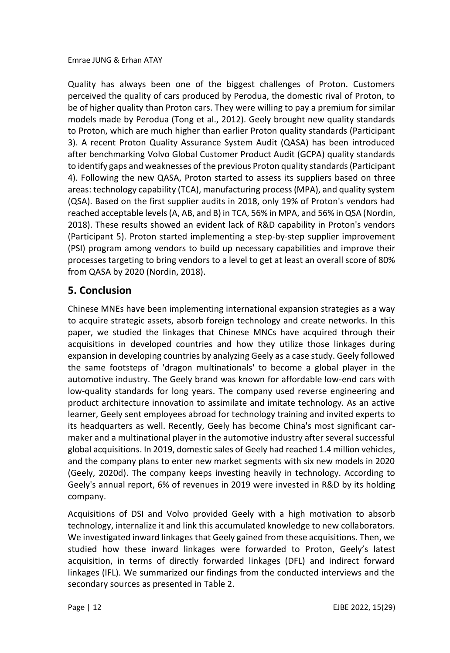Quality has always been one of the biggest challenges of Proton. Customers perceived the quality of cars produced by Perodua, the domestic rival of Proton, to be of higher quality than Proton cars. They were willing to pay a premium for similar models made by Perodua (Tong et al., 2012). Geely brought new quality standards to Proton, which are much higher than earlier Proton quality standards (Participant 3). A recent Proton Quality Assurance System Audit (QASA) has been introduced after benchmarking Volvo Global Customer Product Audit (GCPA) quality standards to identify gaps and weaknesses of the previous Proton quality standards (Participant 4). Following the new QASA, Proton started to assess its suppliers based on three areas: technology capability (TCA), manufacturing process (MPA), and quality system (QSA). Based on the first supplier audits in 2018, only 19% of Proton's vendors had reached acceptable levels (A, AB, and B) in TCA, 56% in MPA, and 56% in QSA (Nordin, 2018). These results showed an evident lack of R&D capability in Proton's vendors (Participant 5). Proton started implementing a step-by-step supplier improvement (PSI) program among vendors to build up necessary capabilities and improve their processes targeting to bring vendors to a level to get at least an overall score of 80% from QASA by 2020 (Nordin, 2018).

# **5. Conclusion**

Chinese MNEs have been implementing international expansion strategies as a way to acquire strategic assets, absorb foreign technology and create networks. In this paper, we studied the linkages that Chinese MNCs have acquired through their acquisitions in developed countries and how they utilize those linkages during expansion in developing countries by analyzing Geely as a case study. Geely followed the same footsteps of 'dragon multinationals' to become a global player in the automotive industry. The Geely brand was known for affordable low-end cars with low-quality standards for long years. The company used reverse engineering and product architecture innovation to assimilate and imitate technology. As an active learner, Geely sent employees abroad for technology training and invited experts to its headquarters as well. Recently, Geely has become China's most significant carmaker and a multinational player in the automotive industry after several successful global acquisitions. In 2019, domestic sales of Geely had reached 1.4 million vehicles, and the company plans to enter new market segments with six new models in 2020 (Geely, 2020d). The company keeps investing heavily in technology. According to Geely's annual report, 6% of revenues in 2019 were invested in R&D by its holding company.

Acquisitions of DSI and Volvo provided Geely with a high motivation to absorb technology, internalize it and link this accumulated knowledge to new collaborators. We investigated inward linkages that Geely gained from these acquisitions. Then, we studied how these inward linkages were forwarded to Proton, Geely's latest acquisition, in terms of directly forwarded linkages (DFL) and indirect forward linkages (IFL). We summarized our findings from the conducted interviews and the secondary sources as presented in Table 2.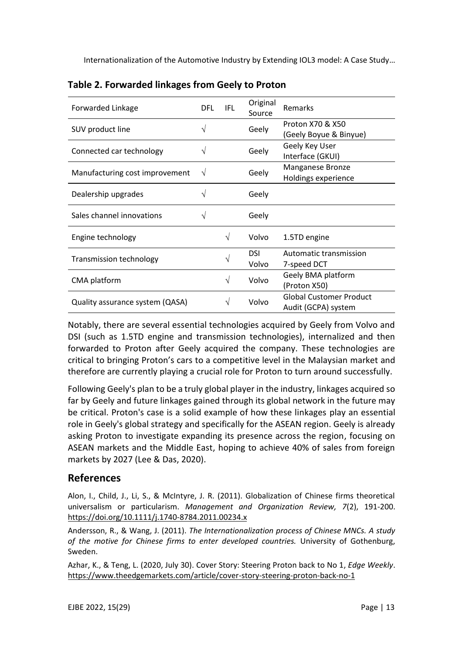| Forwarded Linkage               | DFL | IFL | Original<br>Source | Remarks                                               |
|---------------------------------|-----|-----|--------------------|-------------------------------------------------------|
| SUV product line                | V   |     | Geely              | Proton X70 & X50<br>(Geely Boyue & Binyue)            |
| Connected car technology        | V   |     | Geely              | Geely Key User<br>Interface (GKUI)                    |
| Manufacturing cost improvement  | V   |     | Geely              | Manganese Bronze<br>Holdings experience               |
| Dealership upgrades             |     |     | Geely              |                                                       |
| Sales channel innovations       |     |     | Geely              |                                                       |
| Engine technology               |     | V   | Volvo              | 1.5TD engine                                          |
| <b>Transmission technology</b>  |     | V   | DSI<br>Volvo       | Automatic transmission<br>7-speed DCT                 |
| CMA platform                    |     | V   | Volvo              | Geely BMA platform<br>(Proton X50)                    |
| Quality assurance system (QASA) |     | V   | Volvo              | <b>Global Customer Product</b><br>Audit (GCPA) system |

| Table 2. Forwarded linkages from Geely to Proton |  |  |
|--------------------------------------------------|--|--|
|--------------------------------------------------|--|--|

Notably, there are several essential technologies acquired by Geely from Volvo and DSI (such as 1.5TD engine and transmission technologies), internalized and then forwarded to Proton after Geely acquired the company. These technologies are critical to bringing Proton's cars to a competitive level in the Malaysian market and therefore are currently playing a crucial role for Proton to turn around successfully.

Following Geely's plan to be a truly global player in the industry, linkages acquired so far by Geely and future linkages gained through its global network in the future may be critical. Proton's case is a solid example of how these linkages play an essential role in Geely's global strategy and specifically for the ASEAN region. Geely is already asking Proton to investigate expanding its presence across the region, focusing on ASEAN markets and the Middle East, hoping to achieve 40% of sales from foreign markets by 2027 (Lee & Das, 2020).

## **References**

Alon, I., Child, J., Li, S., & McIntyre, J. R. (2011). Globalization of Chinese firms theoretical universalism or particularism. *Management and Organization Review, 7*(2), 191-200. <https://doi.org/10.1111/j.1740-8784.2011.00234.x>

Andersson, R., & Wang, J. (2011). *The Internationalization process of Chinese MNCs. A study of the motive for Chinese firms to enter developed countries.* University of Gothenburg, Sweden.

Azhar, K., & Teng, L. (2020, July 30). Cover Story: Steering Proton back to No 1, *Edge Weekly*. <https://www.theedgemarkets.com/article/cover-story-steering-proton-back-no-1>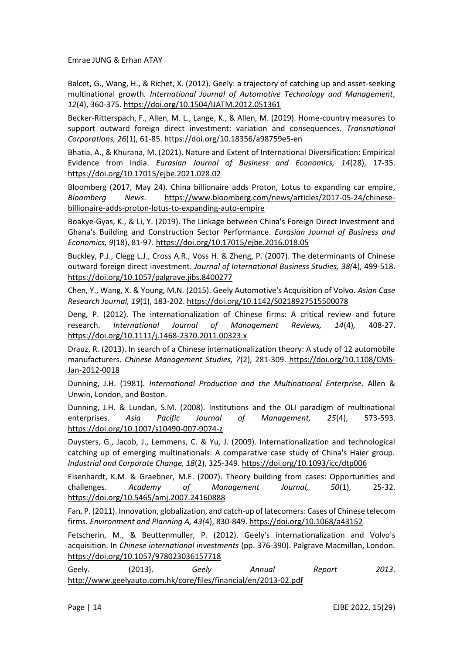Balcet, G., Wang, H., & Richet, X. (2012). Geely: a trajectory of catching up and asset-seeking multinational growth*. International Journal of Automotive Technology and Management, 12*(4), 360-375[. https://doi.org/10.1504/IJATM.2012.051361](https://doi.org/10.1504/IJATM.2012.051361)

Becker-Ritterspach, F., Allen, M. L., Lange, K., & Allen, M. (2019). Home-country measures to support outward foreign direct investment: variation and consequences. *Transnational Corporations, 26*(1), 61-85[. https://doi.org/10.18356/a98759e5-en](https://doi.org/10.18356/a98759e5-en)

Bhatia, A., & Khurana, M. (2021). Nature and Extent of International Diversification: Empirical Evidence from India. *Eurasian Journal of Business and Economics, 14*(28), 17-35. <https://doi.org/10.17015/ejbe.2021.028.02>

Bloomberg (2017, May 24). China billionaire adds Proton, Lotus to expanding car empire, *Bloomberg News*. [https://www.bloomberg.com/news/articles/2017-05-24/chinese](https://www.bloomberg.com/news/articles/2017-05-24/chinese-billionaire-adds-proton-lotus-to-expanding-auto-empire)[billionaire-adds-proton-lotus-to-expanding-auto-empire](https://www.bloomberg.com/news/articles/2017-05-24/chinese-billionaire-adds-proton-lotus-to-expanding-auto-empire)

Boakye-Gyas, K., & Li, Y. (2019). The Linkage between China's Foreign Direct Investment and Ghana's Building and Construction Sector Performance. *Eurasian Journal of Business and Economics, 9*(18), 81-97[. https://doi.org/10.17015/ejbe.2016.018.05](https://doi.org/10.17015/ejbe.2016.018.05)

Buckley, P.J., Clegg L.J., Cross A.R., Voss H. & Zheng, P. (2007). The determinants of Chinese outward foreign direct investment. *Journal of International Business Studies, 38(*4), 499-518. <https://doi.org/10.1057/palgrave.jibs.8400277>

Chen, Y., Wang, X. & Young, M.N. (2015). Geely Automotive's Acquisition of Volvo. *Asian Case Research Journal, 19*(1), 183-202. <https://doi.org/10.1142/S0218927515500078>

Deng, P. (2012). The internationalization of Chinese firms: A critical review and future research. *International Journal of Management Reviews, 14*(4)*,* 408-27. <https://doi.org/10.1111/j.1468-2370.2011.00323.x>

Drauz, R. (2013). In search of a Chinese internationalization theory: A study of 12 automobile manufacturers. *Chinese Management Studies, 7*(2), 281-309. [https://doi.org/10.1108/CMS-](https://doi.org/10.1108/CMS-Jan-2012-0018)[Jan-2012-0018](https://doi.org/10.1108/CMS-Jan-2012-0018)

Dunning, J.H. (1981). *International Production and the Multinational Enterprise*. Allen & Unwin, London, and Boston.

Dunning, J.H. & Lundan, S.M. (2008). Institutions and the OLI paradigm of multinational enterprises. *Asia Pacific Journal of Management, 25*(4), 573-593. <https://doi.org/10.1007/s10490-007-9074-z>

Duysters, G., Jacob, J., Lemmens, C. & Yu, J. (2009). Internationalization and technological catching up of emerging multinationals: A comparative case study of China's Haier group. *Industrial and Corporate Change, 18*(2), 325-349[. https://doi.org/10.1093/icc/dtp006](https://doi.org/10.1093/icc/dtp006)

Eisenhardt, K.M. & Graebner, M.E. (2007). Theory building from cases: Opportunities and challenges. *Academy of Management Journal, 50*(1), 25-32. <https://doi.org/10.5465/amj.2007.24160888>

Fan, P. (2011). Innovation, globalization, and catch-up of latecomers: Cases of Chinese telecom firms. *Environment and Planning A, 43(*4), 830-849[. https://doi.org/10.1068/a43152](https://doi.org/10.1068/a43152)

Fetscherin, M., & Beuttenmuller, P. (2012). Geely's internationalization and Volvo's acquisition. In *Chinese international investments* (pp. 376-390). Palgrave Macmillan, London. <https://doi.org/10.1057/978023036157718>

Geely. (2013). *Geely Annual Report 2013*. <http://www.geelyauto.com.hk/core/files/financial/en/2013-02.pdf>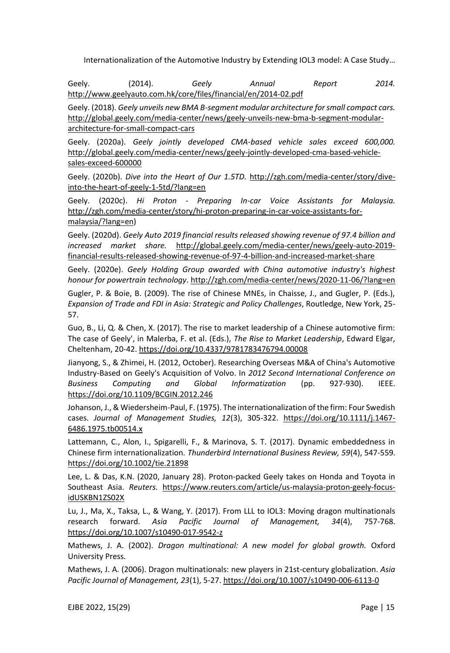Geely. (2014). *Geely Annual Report 2014.* <http://www.geelyauto.com.hk/core/files/financial/en/2014-02.pdf>

Geely. (2018). *Geely unveils new BMA B-segment modular architecture for small compact cars.* [http://global.geely.com/media-center/news/geely-unveils-new-bma-b-segment-modular](http://global.geely.com/media-center/news/geely-unveils-new-bma-b-segment-modular-architecture-for-small-compact-cars)[architecture-for-small-compact-cars](http://global.geely.com/media-center/news/geely-unveils-new-bma-b-segment-modular-architecture-for-small-compact-cars)

Geely. (2020a). *Geely jointly developed CMA-based vehicle sales exceed 600,000.* [http://global.geely.com/media-center/news/geely-jointly-developed-cma-based-vehicle](http://global.geely.com/media-center/news/geely-jointly-developed-cma-based-vehicle-sales-exceed-600000)[sales-exceed-600000](http://global.geely.com/media-center/news/geely-jointly-developed-cma-based-vehicle-sales-exceed-600000)

Geely. (2020b). *Dive into the Heart of Our 1.5TD.* [http://zgh.com/media-center/story/dive](http://zgh.com/media-center/story/dive-into-the-heart-of-geely-1-5td/?lang=en)[into-the-heart-of-geely-1-5td/?lang=en](http://zgh.com/media-center/story/dive-into-the-heart-of-geely-1-5td/?lang=en)

Geely. (2020c). *Hi Proton - Preparing In-car Voice Assistants for Malaysia.* [http://zgh.com/media-center/story/hi-proton-preparing-in-car-voice-assistants-for](http://zgh.com/media-center/story/hi-proton-preparing-in-car-voice-assistants-for-malaysia/?lang=en)[malaysia/?lang=en\)](http://zgh.com/media-center/story/hi-proton-preparing-in-car-voice-assistants-for-malaysia/?lang=en)

Geely. (2020d). *Geely Auto 2019 financial results released showing revenue of 97.4 billion and increased market share.* [http://global.geely.com/media-center/news/geely-auto-2019](http://global.geely.com/media-center/news/geely-auto-2019-financial-results-released-showing-revenue-of-97-4-billion-and-increased-market-share) [financial-results-released-showing-revenue-of-97-4-billion-and-increased-market-share](http://global.geely.com/media-center/news/geely-auto-2019-financial-results-released-showing-revenue-of-97-4-billion-and-increased-market-share)

Geely. (2020e). *Geely Holding Group awarded with China automotive industry's highest honour for powertrain technology*[. http://zgh.com/media-center/news/2020-11-06/?lang=en](http://zgh.com/media-center/news/2020-11-06/?lang=en)

Gugler, P. & Boie, B. (2009). The rise of Chinese MNEs, in Chaisse, J., and Gugler, P. (Eds.), *Expansion of Trade and FDI in Asia: Strategic and Policy Challenges*, Routledge, New York, 25- 57.

Guo, B., Li, Q. & Chen, X. (2017). The rise to market leadership of a Chinese automotive firm: The case of Geely', in Malerba, F. et al. (Eds.), *The Rise to Market Leadership*, Edward Elgar, Cheltenham, 20-42. <https://doi.org/10.4337/9781783476794.00008>

Jianyong, S., & Zhimei, H. (2012, October). Researching Overseas M&A of China's Automotive Industry-Based on Geely's Acquisition of Volvo. In *2012 Second International Conference on Business Computing and Global Informatization* (pp. 927-930). IEEE. <https://doi.org/10.1109/BCGIN.2012.246>

Johanson, J., & Wiedersheim-Paul, F. (1975). The internationalization of the firm: Four Swedish cases. *Journal of Management Studies, 12*(3), 305-322. [https://doi.org/10.1111/j.1467-](https://doi.org/10.1111/j.1467-6486.1975.tb00514.x) [6486.1975.tb00514.x](https://doi.org/10.1111/j.1467-6486.1975.tb00514.x)

Lattemann, C., Alon, I., Spigarelli, F., & Marinova, S. T. (2017). Dynamic embeddedness in Chinese firm internationalization. *Thunderbird International Business Review, 59*(4), 547-559. <https://doi.org/10.1002/tie.21898>

Lee, L. & Das, K.N. (2020, January 28). Proton-packed Geely takes on Honda and Toyota in Southeast Asia. *Reuters.* [https://www.reuters.com/article/us-malaysia-proton-geely-focus](https://www.reuters.com/article/us-malaysia-proton-geely-focus-idUSKBN1ZS02X)[idUSKBN1ZS02X](https://www.reuters.com/article/us-malaysia-proton-geely-focus-idUSKBN1ZS02X)

Lu, J., Ma, X., Taksa, L., & Wang, Y. (2017). From LLL to IOL3: Moving dragon multinationals research forward. *Asia Pacific Journal of Management, 34*(4), 757-768. <https://doi.org/10.1007/s10490-017-9542-z>

Mathews, J. A. (2002). *Dragon multinational: A new model for global growth.* Oxford University Press.

Mathews, J. A. (2006). Dragon multinationals: new players in 21st-century globalization. *Asia Pacific Journal of Management, 23*(1), 5-27. <https://doi.org/10.1007/s10490-006-6113-0>

EJBE 2022, 15(29) Page | 15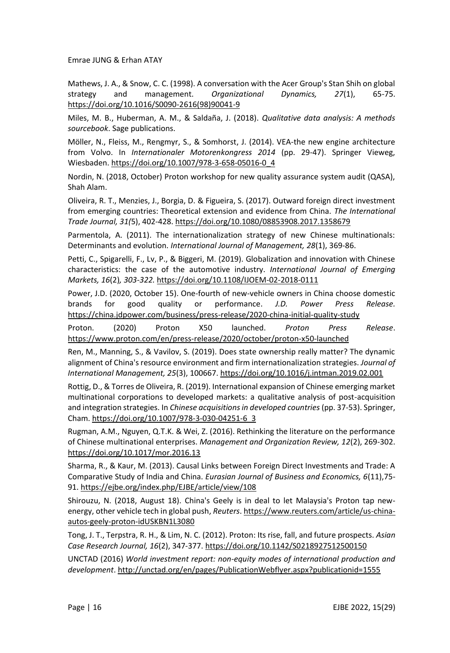Mathews, J. A., & Snow, C. C. (1998). A conversation with the Acer Group's Stan Shih on global strategy and management. *Organizational Dynamics, 27*(1), 65-75. [https://doi.org/10.1016/S0090-2616\(98\)90041-9](https://doi.org/10.1016/S0090-2616(98)90041-9)

Miles, M. B., Huberman, A. M., & Saldaña, J. (2018). *Qualitative data analysis: A methods sourcebook*. Sage publications.

Möller, N., Fleiss, M., Rengmyr, S., & Somhorst, J. (2014). VEA-the new engine architecture from Volvo. In *Internationaler Motorenkongress 2014* (pp. 29-47). Springer Vieweg, Wiesbaden. [https://doi.org/10.1007/978-3-658-05016-0\\_4](https://doi.org/10.1007/978-3-658-05016-0_4)

Nordin, N. (2018, October) Proton workshop for new quality assurance system audit (QASA), Shah Alam.

Oliveira, R. T., Menzies, J., Borgia, D. & Figueira, S. (2017). Outward foreign direct investment from emerging countries: Theoretical extension and evidence from China*. The International Trade Journal, 31(*5), 402-428[. https://doi.org/10.1080/08853908.2017.1358679](https://doi.org/10.1080/08853908.2017.1358679)

Parmentola, A. (2011). The internationalization strategy of new Chinese multinationals: Determinants and evolution. *International Journal of Management, 28*(1), 369-86.

Petti, C., Spigarelli, F., Lv, P., & Biggeri, M. (2019). Globalization and innovation with Chinese characteristics: the case of the automotive industry. *International Journal of Emerging Markets, 16*(2)*, 303-322.* <https://doi.org/10.1108/IJOEM-02-2018-0111>

Power, J.D. (2020, October 15). One-fourth of new-vehicle owners in China choose domestic brands for good quality or performance. *J.D. Power Press Release.* <https://china.jdpower.com/business/press-release/2020-china-initial-quality-study>

Proton. (2020) Proton X50 launched. *Proton Press Release*. <https://www.proton.com/en/press-release/2020/october/proton-x50-launched>

Ren, M., Manning, S., & Vavilov, S. (2019). Does state ownership really matter? The dynamic alignment of China's resource environment and firm internationalization strategies. *Journal of International Management, 25*(3), 100667[. https://doi.org/10.1016/j.intman.2019.02.001](https://doi.org/10.1016/j.intman.2019.02.001)

Rottig, D., & Torres de Oliveira, R. (2019). International expansion of Chinese emerging market multinational corporations to developed markets: a qualitative analysis of post-acquisition and integration strategies. In *Chinese acquisitions in developed countries* (pp. 37-53). Springer, Cham. [https://doi.org/10.1007/978-3-030-04251-6\\_3](https://doi.org/10.1007/978-3-030-04251-6_3)

Rugman, A.M., Nguyen, Q.T.K. & Wei, Z. (2016). Rethinking the literature on the performance of Chinese multinational enterprises. *Management and Organization Review, 12*(2), 269-302. <https://doi.org/10.1017/mor.2016.13>

Sharma, R., & Kaur, M. (2013). Causal Links between Foreign Direct Investments and Trade: A Comparative Study of India and China. *Eurasian Journal of Business and Economics, 6*(11),75- 91.<https://ejbe.org/index.php/EJBE/article/view/108>

Shirouzu, N. (2018, August 18). China's Geely is in deal to let Malaysia's Proton tap newenergy, other vehicle tech in global push, *Reuters*[. https://www.reuters.com/article/us-china](https://www.reuters.com/article/us-china-autos-geely-proton-idUSKBN1L3080)[autos-geely-proton-idUSKBN1L3080](https://www.reuters.com/article/us-china-autos-geely-proton-idUSKBN1L3080)

Tong, J. T., Terpstra, R. H., & Lim, N. C. (2012). Proton: Its rise, fall, and future prospects. *Asian Case Research Journal, 16*(2), 347-377[. https://doi.org/10.1142/S0218927512500150](https://doi.org/10.1142/S0218927512500150)

UNCTAD (2016) *World investment report: non-equity modes of international production and development*[. http://unctad.org/en/pages/PublicationWebflyer.aspx?publicationid=1555](http://unctad.org/en/pages/PublicationWebflyer.aspx?publicationid=1555)